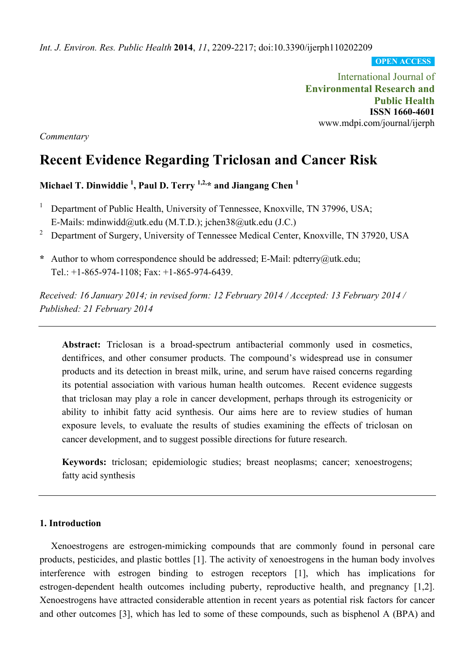*Int. J. Environ. Res. Public Health* **2014**, *11*, 2209-2217; doi:10.3390/ijerph110202209

**OPEN ACCESS**

International Journal of **Environmental Research and Public Health ISSN 1660-4601**  www.mdpi.com/journal/ijerph

*Commentary* 

# **Recent Evidence Regarding Triclosan and Cancer Risk**

**Michael T. Dinwiddie 1 , Paul D. Terry 1,2,\* and Jiangang Chen 1** 

- 1 Department of Public Health, University of Tennessee, Knoxville, TN 37996, USA; E-Mails: mdinwidd@utk.edu (M.T.D.); jchen38@utk.edu (J.C.)
- 2 Department of Surgery, University of Tennessee Medical Center, Knoxville, TN 37920, USA
- **\*** Author to whom correspondence should be addressed; E-Mail: pdterry@utk.edu; Tel.: +1-865-974-1108; Fax: +1-865-974-6439.

*Received: 16 January 2014; in revised form: 12 February 2014 / Accepted: 13 February 2014 / Published: 21 February 2014* 

**Abstract:** Triclosan is a broad-spectrum antibacterial commonly used in cosmetics, dentifrices, and other consumer products. The compound's widespread use in consumer products and its detection in breast milk, urine, and serum have raised concerns regarding its potential association with various human health outcomes. Recent evidence suggests that triclosan may play a role in cancer development, perhaps through its estrogenicity or ability to inhibit fatty acid synthesis. Our aims here are to review studies of human exposure levels, to evaluate the results of studies examining the effects of triclosan on cancer development, and to suggest possible directions for future research.

**Keywords:** triclosan; epidemiologic studies; breast neoplasms; cancer; xenoestrogens; fatty acid synthesis

# **1. Introduction**

Xenoestrogens are estrogen-mimicking compounds that are commonly found in personal care products, pesticides, and plastic bottles [1]. The activity of xenoestrogens in the human body involves interference with estrogen binding to estrogen receptors [1], which has implications for estrogen-dependent health outcomes including puberty, reproductive health, and pregnancy [1,2]. Xenoestrogens have attracted considerable attention in recent years as potential risk factors for cancer and other outcomes [3], which has led to some of these compounds, such as bisphenol A (BPA) and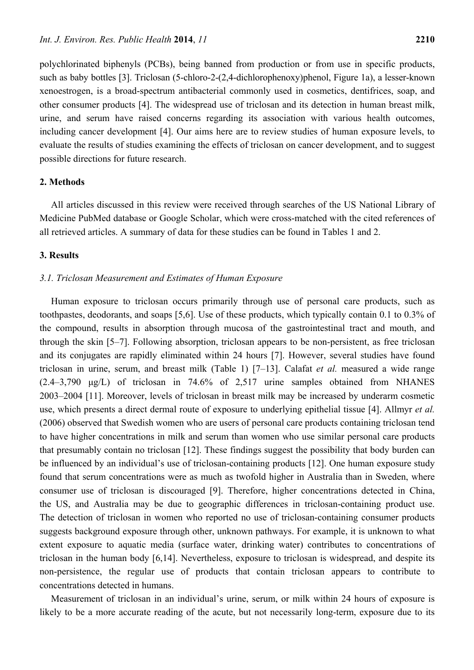polychlorinated biphenyls (PCBs), being banned from production or from use in specific products, such as baby bottles [3]. Triclosan (5-chloro-2-(2,4-dichlorophenoxy)phenol, Figure 1a), a lesser-known xenoestrogen, is a broad-spectrum antibacterial commonly used in cosmetics, dentifrices, soap, and other consumer products [4]. The widespread use of triclosan and its detection in human breast milk, urine, and serum have raised concerns regarding its association with various health outcomes, including cancer development [4]. Our aims here are to review studies of human exposure levels, to evaluate the results of studies examining the effects of triclosan on cancer development, and to suggest possible directions for future research.

### **2. Methods**

All articles discussed in this review were received through searches of the US National Library of Medicine PubMed database or Google Scholar, which were cross-matched with the cited references of all retrieved articles. A summary of data for these studies can be found in Tables 1 and 2.

# **3. Results**

#### *3.1. Triclosan Measurement and Estimates of Human Exposure*

Human exposure to triclosan occurs primarily through use of personal care products, such as toothpastes, deodorants, and soaps [5,6]. Use of these products, which typically contain 0.1 to 0.3% of the compound, results in absorption through mucosa of the gastrointestinal tract and mouth, and through the skin [5–7]. Following absorption, triclosan appears to be non-persistent, as free triclosan and its conjugates are rapidly eliminated within 24 hours [7]. However, several studies have found triclosan in urine, serum, and breast milk (Table 1) [7–13]. Calafat *et al.* measured a wide range (2.4–3,790 μg/L) of triclosan in 74.6% of 2,517 urine samples obtained from NHANES 2003–2004 [11]. Moreover, levels of triclosan in breast milk may be increased by underarm cosmetic use, which presents a direct dermal route of exposure to underlying epithelial tissue [4]. Allmyr *et al.* (2006) observed that Swedish women who are users of personal care products containing triclosan tend to have higher concentrations in milk and serum than women who use similar personal care products that presumably contain no triclosan [12]. These findings suggest the possibility that body burden can be influenced by an individual's use of triclosan-containing products [12]. One human exposure study found that serum concentrations were as much as twofold higher in Australia than in Sweden, where consumer use of triclosan is discouraged [9]. Therefore, higher concentrations detected in China, the US, and Australia may be due to geographic differences in triclosan-containing product use. The detection of triclosan in women who reported no use of triclosan-containing consumer products suggests background exposure through other, unknown pathways. For example, it is unknown to what extent exposure to aquatic media (surface water, drinking water) contributes to concentrations of triclosan in the human body [6,14]. Nevertheless, exposure to triclosan is widespread, and despite its non-persistence, the regular use of products that contain triclosan appears to contribute to concentrations detected in humans.

Measurement of triclosan in an individual's urine, serum, or milk within 24 hours of exposure is likely to be a more accurate reading of the acute, but not necessarily long-term, exposure due to its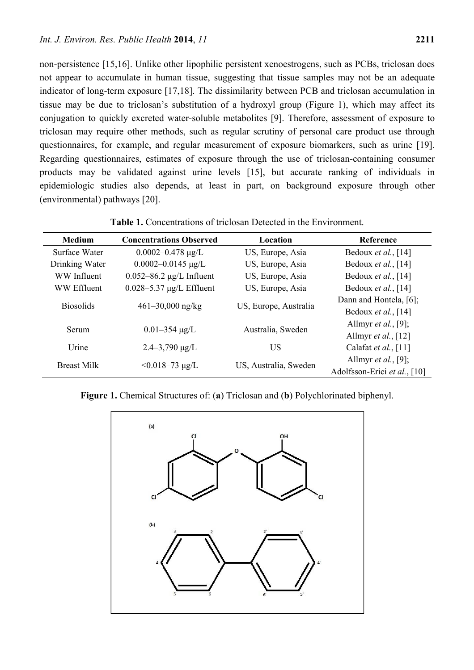non-persistence [15,16]. Unlike other lipophilic persistent xenoestrogens, such as PCBs, triclosan does not appear to accumulate in human tissue, suggesting that tissue samples may not be an adequate indicator of long-term exposure [17,18]. The dissimilarity between PCB and triclosan accumulation in tissue may be due to triclosan's substitution of a hydroxyl group (Figure 1), which may affect its conjugation to quickly excreted water-soluble metabolites [9]. Therefore, assessment of exposure to triclosan may require other methods, such as regular scrutiny of personal care product use through questionnaires, for example, and regular measurement of exposure biomarkers, such as urine [19]. Regarding questionnaires, estimates of exposure through the use of triclosan-containing consumer products may be validated against urine levels [15], but accurate ranking of individuals in epidemiologic studies also depends, at least in part, on background exposure through other (environmental) pathways [20].

| <b>Medium</b>    | <b>Concentrations Observed</b>               | Location              | Reference                    |
|------------------|----------------------------------------------|-----------------------|------------------------------|
| Surface Water    | $0.0002 - 0.478$ µg/L                        | US, Europe, Asia      | Bedoux et al., [14]          |
| Drinking Water   | $0.0002 - 0.0145 \mu g/L$                    | US, Europe, Asia      | Bedoux <i>et al.</i> , [14]  |
| WW Influent      | $0.052 - 86.2 \mu g/L$ Influent              | US, Europe, Asia      | Bedoux <i>et al.</i> , [14]  |
| WW Effluent      | $0.028 - 5.37 \mu g/L$ Effluent              | US, Europe, Asia      | Bedoux et al., [14]          |
| <b>Biosolids</b> | $461 - 30,000$ ng/kg                         | US, Europe, Australia | Dann and Hontela, [6];       |
|                  |                                              |                       | Bedoux et al., [14]          |
| Serum            |                                              | Australia, Sweden     | Allmyr <i>et al.</i> , [9];  |
|                  | $0.01 - 354 \mu g/L$                         |                       | Allmyr et al., $[12]$        |
| Urine            | $2.4 - 3,790 \mu g/L$                        | <b>US</b>             | Calafat et al., [11]         |
|                  | <b>Breast Milk</b><br>$< 0.018 - 73 \mu g/L$ |                       | Allmyr <i>et al.</i> , [9];  |
|                  |                                              | US, Australia, Sweden | Adolfsson-Erici et al., [10] |

**Table 1.** Concentrations of triclosan Detected in the Environment.

**Figure 1.** Chemical Structures of: (**a**) Triclosan and (**b**) Polychlorinated biphenyl.

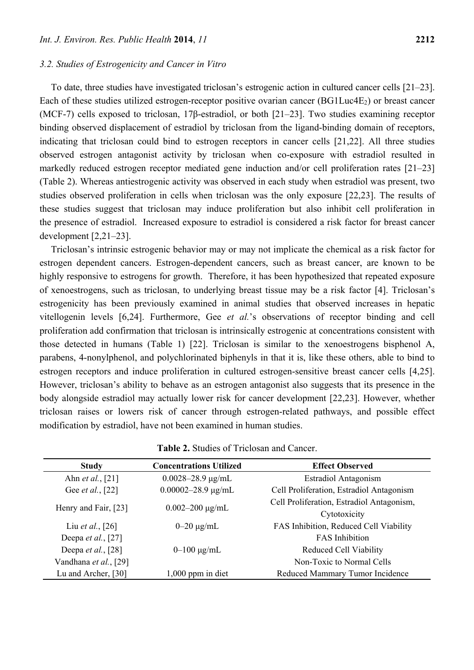#### *3.2. Studies of Estrogenicity and Cancer in Vitro*

To date, three studies have investigated triclosan's estrogenic action in cultured cancer cells [21–23]. Each of these studies utilized estrogen-receptor positive ovarian cancer  $(BG1Luc4E<sub>2</sub>)$  or breast cancer (MCF-7) cells exposed to triclosan, 17β-estradiol, or both [21–23]. Two studies examining receptor binding observed displacement of estradiol by triclosan from the ligand-binding domain of receptors, indicating that triclosan could bind to estrogen receptors in cancer cells [21,22]. All three studies observed estrogen antagonist activity by triclosan when co-exposure with estradiol resulted in markedly reduced estrogen receptor mediated gene induction and/or cell proliferation rates [21–23] (Table 2). Whereas antiestrogenic activity was observed in each study when estradiol was present, two studies observed proliferation in cells when triclosan was the only exposure [22,23]. The results of these studies suggest that triclosan may induce proliferation but also inhibit cell proliferation in the presence of estradiol. Increased exposure to estradiol is considered a risk factor for breast cancer development [2,21–23].

Triclosan's intrinsic estrogenic behavior may or may not implicate the chemical as a risk factor for estrogen dependent cancers. Estrogen-dependent cancers, such as breast cancer, are known to be highly responsive to estrogens for growth. Therefore, it has been hypothesized that repeated exposure of xenoestrogens, such as triclosan, to underlying breast tissue may be a risk factor [4]. Triclosan's estrogenicity has been previously examined in animal studies that observed increases in hepatic vitellogenin levels [6,24]. Furthermore, Gee *et al.*'s observations of receptor binding and cell proliferation add confirmation that triclosan is intrinsically estrogenic at concentrations consistent with those detected in humans (Table 1) [22]. Triclosan is similar to the xenoestrogens bisphenol A, parabens, 4-nonylphenol, and polychlorinated biphenyls in that it is, like these others, able to bind to estrogen receptors and induce proliferation in cultured estrogen-sensitive breast cancer cells [4,25]. However, triclosan's ability to behave as an estrogen antagonist also suggests that its presence in the body alongside estradiol may actually lower risk for cancer development [22,23]. However, whether triclosan raises or lowers risk of cancer through estrogen-related pathways, and possible effect modification by estradiol, have not been examined in human studies.

| <b>Study</b>                 | <b>Concentrations Utilized</b> | <b>Effect Observed</b>                    |
|------------------------------|--------------------------------|-------------------------------------------|
| Ahn <i>et al.</i> , [21]     | $0.0028 - 28.9 \mu g/mL$       | <b>Estradiol Antagonism</b>               |
| Gee <i>et al.</i> , [22]     | $0.00002 - 28.9 \mu g/mL$      | Cell Proliferation, Estradiol Antagonism  |
|                              |                                | Cell Proliferation, Estradiol Antagonism, |
| Henry and Fair, [23]         | $0.002 - 200 \mu g/mL$         | Cytotoxicity                              |
| Liu et al., $[26]$           | $0-20 \mu g/mL$                | FAS Inhibition, Reduced Cell Viability    |
| Deepa <i>et al.</i> , [27]   |                                | <b>FAS</b> Inhibition                     |
| Deepa <i>et al.</i> , $[28]$ | $0-100 \mu g/mL$               | <b>Reduced Cell Viability</b>             |
| Vandhana et al., [29]        |                                | Non-Toxic to Normal Cells                 |
| Lu and Archer, [30]          | $1,000$ ppm in diet            | Reduced Mammary Tumor Incidence           |

**Table 2.** Studies of Triclosan and Cancer.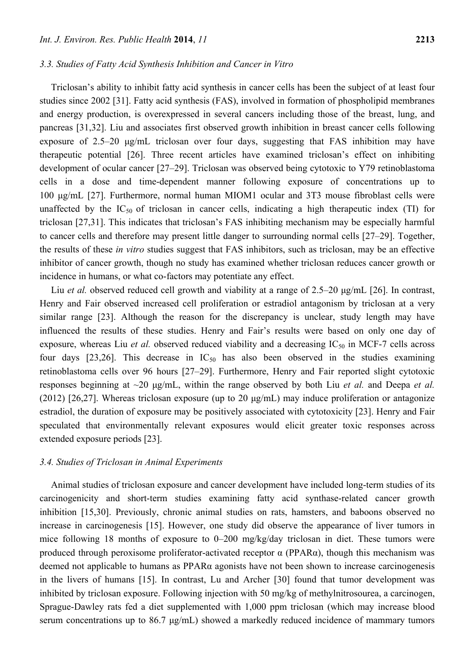#### *3.3. Studies of Fatty Acid Synthesis Inhibition and Cancer in Vitro*

Triclosan's ability to inhibit fatty acid synthesis in cancer cells has been the subject of at least four studies since 2002 [31]. Fatty acid synthesis (FAS), involved in formation of phospholipid membranes and energy production, is overexpressed in several cancers including those of the breast, lung, and pancreas [31,32]. Liu and associates first observed growth inhibition in breast cancer cells following exposure of 2.5–20 μg/mL triclosan over four days, suggesting that FAS inhibition may have therapeutic potential [26]. Three recent articles have examined triclosan's effect on inhibiting development of ocular cancer [27–29]. Triclosan was observed being cytotoxic to Y79 retinoblastoma cells in a dose and time-dependent manner following exposure of concentrations up to 100 μg/mL [27]. Furthermore, normal human MIOM1 ocular and 3T3 mouse fibroblast cells were unaffected by the  $IC_{50}$  of triclosan in cancer cells, indicating a high therapeutic index (TI) for triclosan [27,31]. This indicates that triclosan's FAS inhibiting mechanism may be especially harmful to cancer cells and therefore may present little danger to surrounding normal cells [27–29]. Together, the results of these *in vitro* studies suggest that FAS inhibitors, such as triclosan, may be an effective inhibitor of cancer growth, though no study has examined whether triclosan reduces cancer growth or incidence in humans, or what co-factors may potentiate any effect.

Liu *et al.* observed reduced cell growth and viability at a range of 2.5–20 μg/mL [26]. In contrast, Henry and Fair observed increased cell proliferation or estradiol antagonism by triclosan at a very similar range [23]. Although the reason for the discrepancy is unclear, study length may have influenced the results of these studies. Henry and Fair's results were based on only one day of exposure, whereas Liu *et al.* observed reduced viability and a decreasing  $IC_{50}$  in MCF-7 cells across four days [23,26]. This decrease in  $IC_{50}$  has also been observed in the studies examining retinoblastoma cells over 96 hours [27–29]. Furthermore, Henry and Fair reported slight cytotoxic responses beginning at ~20 μg/mL, within the range observed by both Liu *et al.* and Deepa *et al.*  (2012) [26,27]. Whereas triclosan exposure (up to 20 μg/mL) may induce proliferation or antagonize estradiol, the duration of exposure may be positively associated with cytotoxicity [23]. Henry and Fair speculated that environmentally relevant exposures would elicit greater toxic responses across extended exposure periods [23].

#### *3.4. Studies of Triclosan in Animal Experiments*

Animal studies of triclosan exposure and cancer development have included long-term studies of its carcinogenicity and short-term studies examining fatty acid synthase-related cancer growth inhibition [15,30]. Previously, chronic animal studies on rats, hamsters, and baboons observed no increase in carcinogenesis [15]. However, one study did observe the appearance of liver tumors in mice following 18 months of exposure to 0–200 mg/kg/day triclosan in diet. These tumors were produced through peroxisome proliferator-activated receptor  $\alpha$  (PPAR $\alpha$ ), though this mechanism was deemed not applicable to humans as PPARα agonists have not been shown to increase carcinogenesis in the livers of humans [15]. In contrast, Lu and Archer [30] found that tumor development was inhibited by triclosan exposure. Following injection with 50 mg/kg of methylnitrosourea, a carcinogen, Sprague-Dawley rats fed a diet supplemented with 1,000 ppm triclosan (which may increase blood serum concentrations up to 86.7 μg/mL) showed a markedly reduced incidence of mammary tumors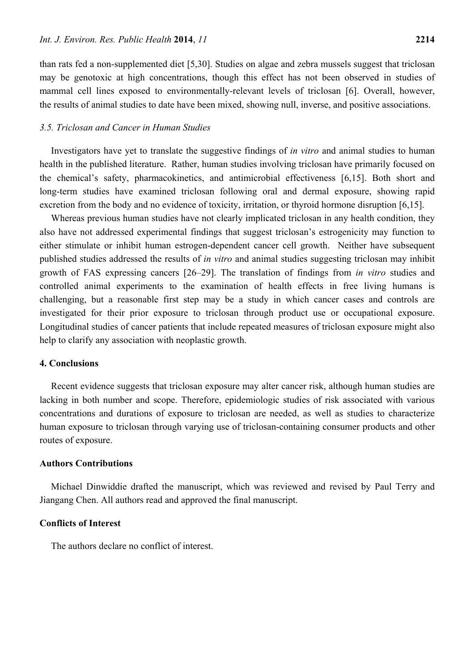than rats fed a non-supplemented diet [5,30]. Studies on algae and zebra mussels suggest that triclosan may be genotoxic at high concentrations, though this effect has not been observed in studies of mammal cell lines exposed to environmentally-relevant levels of triclosan [6]. Overall, however, the results of animal studies to date have been mixed, showing null, inverse, and positive associations.

#### *3.5. Triclosan and Cancer in Human Studies*

Investigators have yet to translate the suggestive findings of *in vitro* and animal studies to human health in the published literature. Rather, human studies involving triclosan have primarily focused on the chemical's safety, pharmacokinetics, and antimicrobial effectiveness [6,15]. Both short and long-term studies have examined triclosan following oral and dermal exposure, showing rapid excretion from the body and no evidence of toxicity, irritation, or thyroid hormone disruption [6,15].

Whereas previous human studies have not clearly implicated triclosan in any health condition, they also have not addressed experimental findings that suggest triclosan's estrogenicity may function to either stimulate or inhibit human estrogen-dependent cancer cell growth. Neither have subsequent published studies addressed the results of *in vitro* and animal studies suggesting triclosan may inhibit growth of FAS expressing cancers [26–29]. The translation of findings from *in vitro* studies and controlled animal experiments to the examination of health effects in free living humans is challenging, but a reasonable first step may be a study in which cancer cases and controls are investigated for their prior exposure to triclosan through product use or occupational exposure. Longitudinal studies of cancer patients that include repeated measures of triclosan exposure might also help to clarify any association with neoplastic growth.

# **4. Conclusions**

Recent evidence suggests that triclosan exposure may alter cancer risk, although human studies are lacking in both number and scope. Therefore, epidemiologic studies of risk associated with various concentrations and durations of exposure to triclosan are needed, as well as studies to characterize human exposure to triclosan through varying use of triclosan-containing consumer products and other routes of exposure.

#### **Authors Contributions**

Michael Dinwiddie drafted the manuscript, which was reviewed and revised by Paul Terry and Jiangang Chen. All authors read and approved the final manuscript.

#### **Conflicts of Interest**

The authors declare no conflict of interest.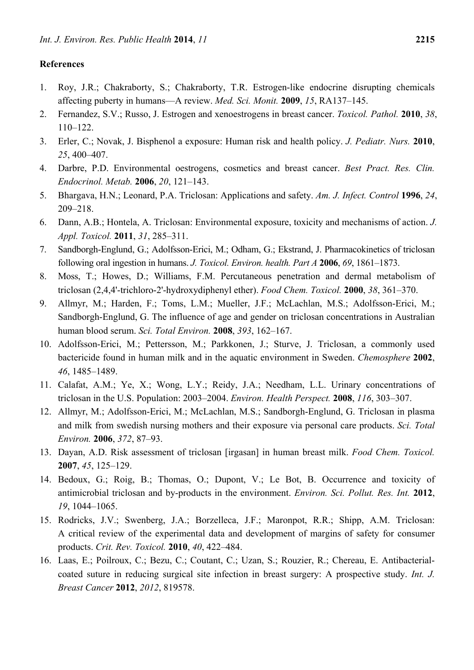# **References**

- 1. Roy, J.R.; Chakraborty, S.; Chakraborty, T.R. Estrogen-like endocrine disrupting chemicals affecting puberty in humans—A review. *Med. Sci. Monit.* **2009**, *15*, RA137–145.
- 2. Fernandez, S.V.; Russo, J. Estrogen and xenoestrogens in breast cancer. *Toxicol. Pathol.* **2010**, *38*, 110–122.
- 3. Erler, C.; Novak, J. Bisphenol a exposure: Human risk and health policy. *J. Pediatr. Nurs.* **2010**, *25*, 400–407.
- 4. Darbre, P.D. Environmental oestrogens, cosmetics and breast cancer. *Best Pract. Res. Clin. Endocrinol. Metab.* **2006**, *20*, 121–143.
- 5. Bhargava, H.N.; Leonard, P.A. Triclosan: Applications and safety. *Am. J. Infect. Control* **1996**, *24*, 209–218.
- 6. Dann, A.B.; Hontela, A. Triclosan: Environmental exposure, toxicity and mechanisms of action. *J. Appl. Toxicol.* **2011**, *31*, 285–311.
- 7. Sandborgh-Englund, G.; Adolfsson-Erici, M.; Odham, G.; Ekstrand, J. Pharmacokinetics of triclosan following oral ingestion in humans. *J. Toxicol. Environ. health. Part A* **2006**, *69*, 1861–1873.
- 8. Moss, T.; Howes, D.; Williams, F.M. Percutaneous penetration and dermal metabolism of triclosan (2,4,4'-trichloro-2'-hydroxydiphenyl ether). *Food Chem. Toxicol.* **2000**, *38*, 361–370.
- 9. Allmyr, M.; Harden, F.; Toms, L.M.; Mueller, J.F.; McLachlan, M.S.; Adolfsson-Erici, M.; Sandborgh-Englund, G. The influence of age and gender on triclosan concentrations in Australian human blood serum. *Sci. Total Environ.* **2008**, *393*, 162–167.
- 10. Adolfsson-Erici, M.; Pettersson, M.; Parkkonen, J.; Sturve, J. Triclosan, a commonly used bactericide found in human milk and in the aquatic environment in Sweden. *Chemosphere* **2002**, *46*, 1485–1489.
- 11. Calafat, A.M.; Ye, X.; Wong, L.Y.; Reidy, J.A.; Needham, L.L. Urinary concentrations of triclosan in the U.S. Population: 2003–2004. *Environ. Health Perspect.* **2008**, *116*, 303–307.
- 12. Allmyr, M.; Adolfsson-Erici, M.; McLachlan, M.S.; Sandborgh-Englund, G. Triclosan in plasma and milk from swedish nursing mothers and their exposure via personal care products. *Sci. Total Environ.* **2006**, *372*, 87–93.
- 13. Dayan, A.D. Risk assessment of triclosan [irgasan] in human breast milk. *Food Chem. Toxicol.*  **2007**, *45*, 125–129.
- 14. Bedoux, G.; Roig, B.; Thomas, O.; Dupont, V.; Le Bot, B. Occurrence and toxicity of antimicrobial triclosan and by-products in the environment. *Environ. Sci. Pollut. Res. Int.* **2012**, *19*, 1044–1065.
- 15. Rodricks, J.V.; Swenberg, J.A.; Borzelleca, J.F.; Maronpot, R.R.; Shipp, A.M. Triclosan: A critical review of the experimental data and development of margins of safety for consumer products. *Crit. Rev. Toxicol.* **2010**, *40*, 422–484.
- 16. Laas, E.; Poilroux, C.; Bezu, C.; Coutant, C.; Uzan, S.; Rouzier, R.; Chereau, E. Antibacterialcoated suture in reducing surgical site infection in breast surgery: A prospective study. *Int. J. Breast Cancer* **2012**, *2012*, 819578.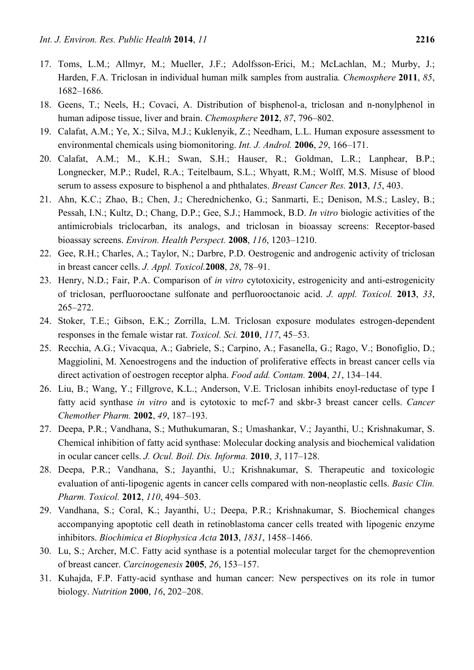- 17. Toms, L.M.; Allmyr, M.; Mueller, J.F.; Adolfsson-Erici, M.; McLachlan, M.; Murby, J.; Harden, F.A. Triclosan in individual human milk samples from australia*. Chemosphere* **2011**, *85*, 1682–1686.
- 18. Geens, T.; Neels, H.; Covaci, A. Distribution of bisphenol-a, triclosan and n-nonylphenol in human adipose tissue, liver and brain. *Chemosphere* **2012**, *87*, 796–802.
- 19. Calafat, A.M.; Ye, X.; Silva, M.J.; Kuklenyik, Z.; Needham, L.L. Human exposure assessment to environmental chemicals using biomonitoring. *Int. J. Androl.* **2006**, *29*, 166–171.
- 20. Calafat, A.M.; M., K.H.; Swan, S.H.; Hauser, R.; Goldman, L.R.; Lanphear, B.P.; Longnecker, M.P.; Rudel, R.A.; Teitelbaum, S.L.; Whyatt, R.M.; Wolff, M.S. Misuse of blood serum to assess exposure to bisphenol a and phthalates. *Breast Cancer Res.* **2013**, *15*, 403.
- 21. Ahn, K.C.; Zhao, B.; Chen, J.; Cherednichenko, G.; Sanmarti, E.; Denison, M.S.; Lasley, B.; Pessah, I.N.; Kultz, D.; Chang, D.P.; Gee, S.J.; Hammock, B.D. *In vitro* biologic activities of the antimicrobials triclocarban, its analogs, and triclosan in bioassay screens: Receptor-based bioassay screens. *Environ. Health Perspect.* **2008**, *116*, 1203–1210.
- 22. Gee, R.H.; Charles, A.; Taylor, N.; Darbre, P.D. Oestrogenic and androgenic activity of triclosan in breast cancer cells. *J. Appl. Toxicol.***2008**, *28*, 78–91.
- 23. Henry, N.D.; Fair, P.A. Comparison of *in vitro* cytotoxicity, estrogenicity and anti-estrogenicity of triclosan, perfluorooctane sulfonate and perfluorooctanoic acid. *J. appl. Toxicol.* **2013**, *33*, 265–272.
- 24. Stoker, T.E.; Gibson, E.K.; Zorrilla, L.M. Triclosan exposure modulates estrogen-dependent responses in the female wistar rat. *Toxicol. Sci.* **2010**, *117*, 45–53.
- 25. Recchia, A.G.; Vivacqua, A.; Gabriele, S.; Carpino, A.; Fasanella, G.; Rago, V.; Bonofiglio, D.; Maggiolini, M. Xenoestrogens and the induction of proliferative effects in breast cancer cells via direct activation of oestrogen receptor alpha. *Food add. Contam.* **2004**, *21*, 134–144.
- 26. Liu, B.; Wang, Y.; Fillgrove, K.L.; Anderson, V.E. Triclosan inhibits enoyl-reductase of type I fatty acid synthase *in vitro* and is cytotoxic to mcf-7 and skbr-3 breast cancer cells. *Cancer Chemother Pharm.* **2002**, *49*, 187–193.
- 27. Deepa, P.R.; Vandhana, S.; Muthukumaran, S.; Umashankar, V.; Jayanthi, U.; Krishnakumar, S. Chemical inhibition of fatty acid synthase: Molecular docking analysis and biochemical validation in ocular cancer cells. *J. Ocul. Boil. Dis. Informa.* **2010**, *3*, 117–128.
- 28. Deepa, P.R.; Vandhana, S.; Jayanthi, U.; Krishnakumar, S. Therapeutic and toxicologic evaluation of anti-lipogenic agents in cancer cells compared with non-neoplastic cells. *Basic Clin. Pharm. Toxicol.* **2012**, *110*, 494–503.
- 29. Vandhana, S.; Coral, K.; Jayanthi, U.; Deepa, P.R.; Krishnakumar, S. Biochemical changes accompanying apoptotic cell death in retinoblastoma cancer cells treated with lipogenic enzyme inhibitors. *Biochimica et Biophysica Acta* **2013**, *1831*, 1458–1466.
- 30. Lu, S.; Archer, M.C. Fatty acid synthase is a potential molecular target for the chemoprevention of breast cancer. *Carcinogenesis* **2005**, *26*, 153–157.
- 31. Kuhajda, F.P. Fatty-acid synthase and human cancer: New perspectives on its role in tumor biology. *Nutrition* **2000**, *16*, 202–208.